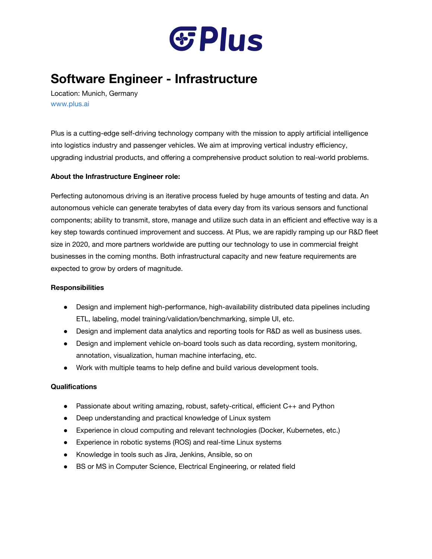

# **Software Engineer - Infrastructure**

Location: Munich, Germany [www.plus.ai](http://www.plus.ai/)

Plus is a cutting-edge self-driving technology company with the mission to apply artificial intelligence into logistics industry and passenger vehicles. We aim at improving vertical industry efficiency, upgrading industrial products, and offering a comprehensive product solution to real-world problems.

## **About the Infrastructure Engineer role:**

Perfecting autonomous driving is an iterative process fueled by huge amounts of testing and data. An autonomous vehicle can generate terabytes of data every day from its various sensors and functional components; ability to transmit, store, manage and utilize such data in an efficient and effective way is a key step towards continued improvement and success. At Plus, we are rapidly ramping up our R&D fleet size in 2020, and more partners worldwide are putting our technology to use in commercial freight businesses in the coming months. Both infrastructural capacity and new feature requirements are expected to grow by orders of magnitude.

## **Responsibilities**

- Design and implement high-performance, high-availability distributed data pipelines including ETL, labeling, model training/validation/benchmarking, simple UI, etc.
- Design and implement data analytics and reporting tools for R&D as well as business uses.
- Design and implement vehicle on-board tools such as data recording, system monitoring, annotation, visualization, human machine interfacing, etc.
- Work with multiple teams to help define and build various development tools.

## **Qualifications**

- $\bullet$  Passionate about writing amazing, robust, safety-critical, efficient  $C_{++}$  and Python
- Deep understanding and practical knowledge of Linux system
- Experience in cloud computing and relevant technologies (Docker, Kubernetes, etc.)
- Experience in robotic systems (ROS) and real-time Linux systems
- Knowledge in tools such as Jira, Jenkins, Ansible, so on
- BS or MS in Computer Science, Electrical Engineering, or related field